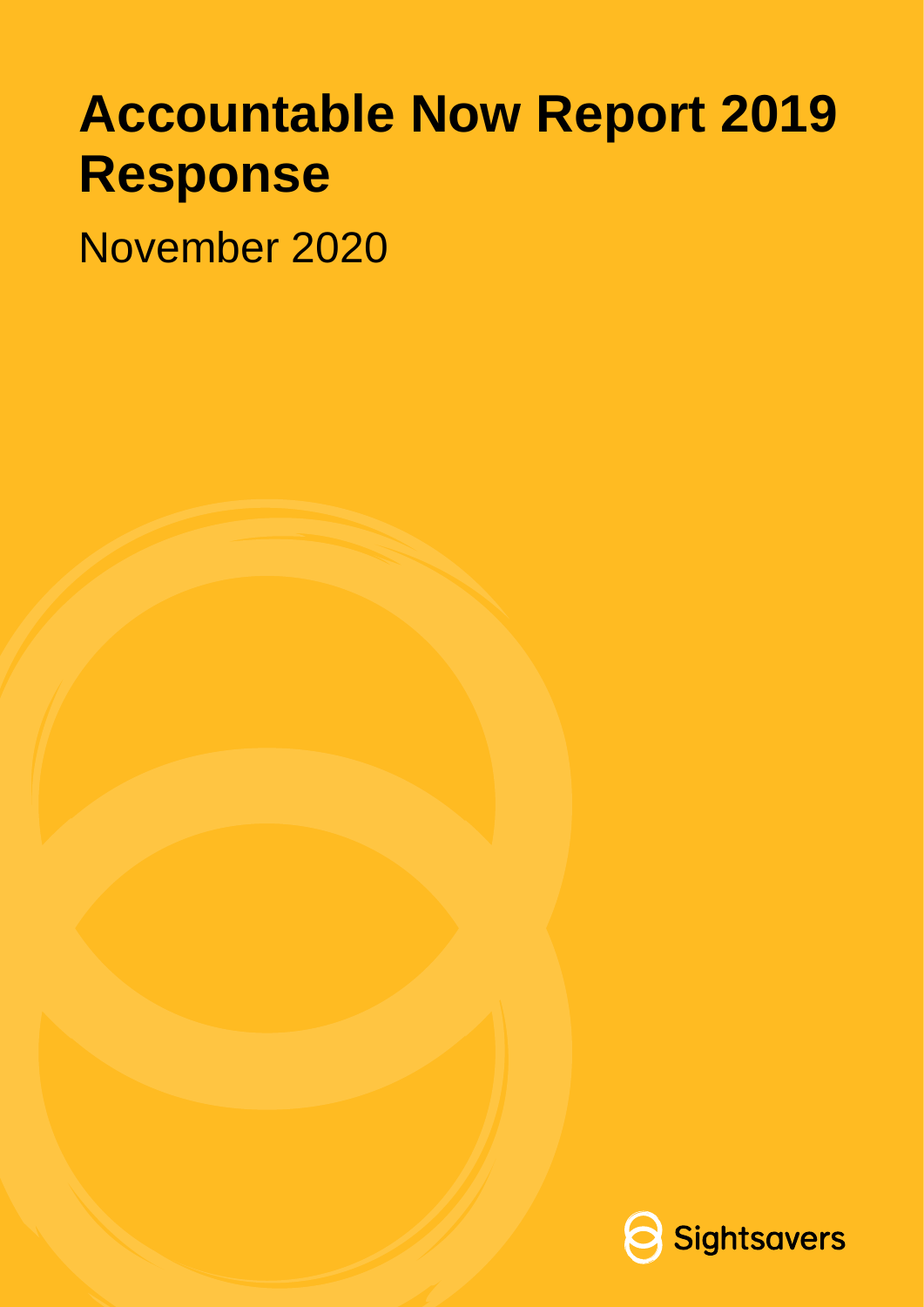# **Accountable Now Report 2019 Response**

November 2020

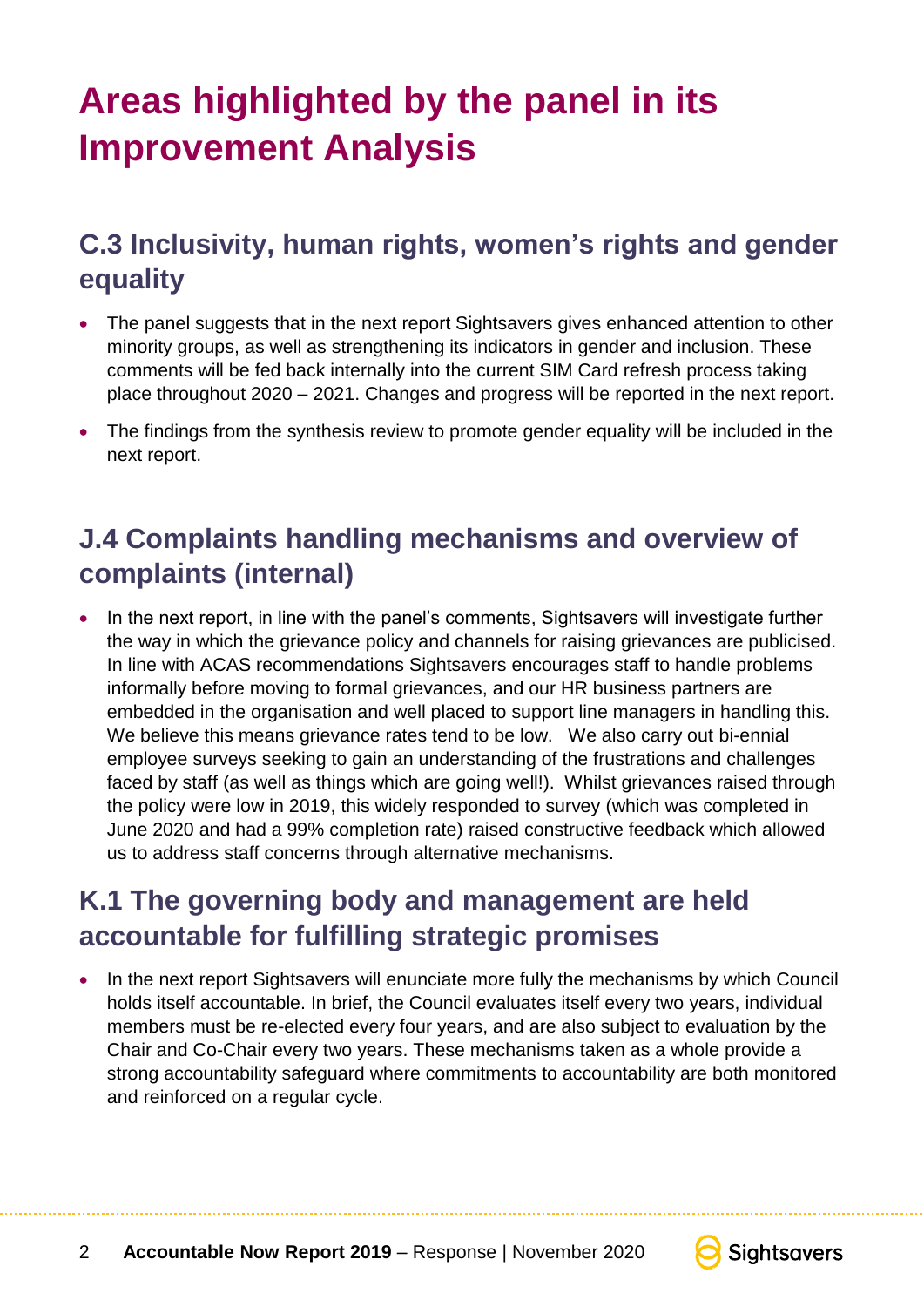# **Areas highlighted by the panel in its Improvement Analysis**

### **C.3 Inclusivity, human rights, women's rights and gender equality**

- The panel suggests that in the next report Sightsavers gives enhanced attention to other minority groups, as well as strengthening its indicators in gender and inclusion. These comments will be fed back internally into the current SIM Card refresh process taking place throughout 2020 – 2021. Changes and progress will be reported in the next report.
- The findings from the synthesis review to promote gender equality will be included in the next report.

### **J.4 Complaints handling mechanisms and overview of complaints (internal)**

• In the next report, in line with the panel's comments, Sightsavers will investigate further the way in which the grievance policy and channels for raising grievances are publicised. In line with ACAS recommendations Sightsavers encourages staff to handle problems informally before moving to formal grievances, and our HR business partners are embedded in the organisation and well placed to support line managers in handling this. We believe this means grievance rates tend to be low. We also carry out bi-ennial employee surveys seeking to gain an understanding of the frustrations and challenges faced by staff (as well as things which are going well!). Whilst grievances raised through the policy were low in 2019, this widely responded to survey (which was completed in June 2020 and had a 99% completion rate) raised constructive feedback which allowed us to address staff concerns through alternative mechanisms.

### **K.1 The governing body and management are held accountable for fulfilling strategic promises**

 In the next report Sightsavers will enunciate more fully the mechanisms by which Council holds itself accountable. In brief, the Council evaluates itself every two years, individual members must be re-elected every four years, and are also subject to evaluation by the Chair and Co-Chair every two years. These mechanisms taken as a whole provide a strong accountability safeguard where commitments to accountability are both monitored and reinforced on a regular cycle.

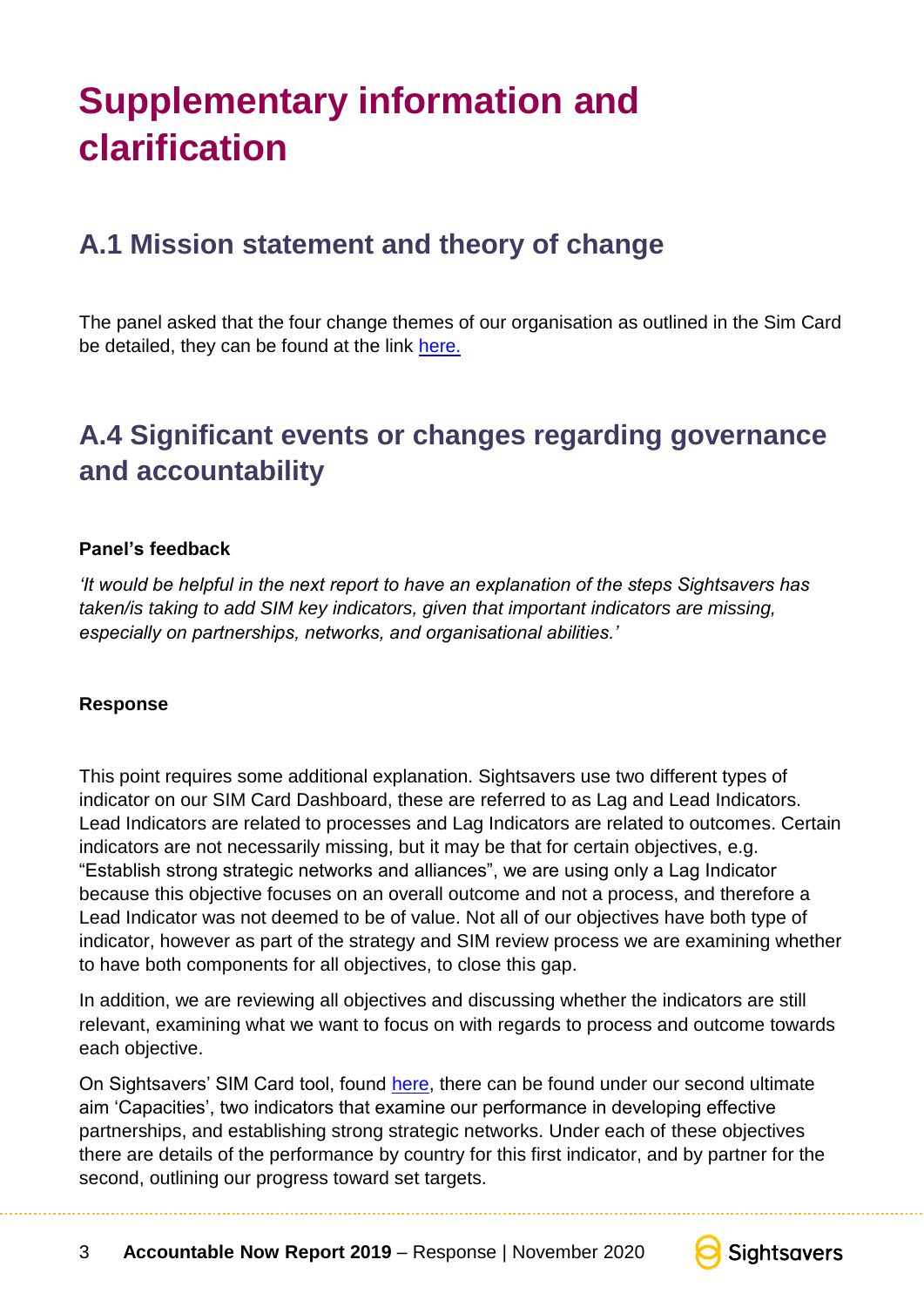## **Supplementary information and clarification**

### **A.1 Mission statement and theory of change**

The panel asked that the four change themes of our organisation as outlined in the Sim Card be detailed, they can be found at the link [here.](https://dashboard.sightsavers.org/Dashboard)

### **A.4 Significant events or changes regarding governance and accountability**

#### **Panel's feedback**

*'It would be helpful in the next report to have an explanation of the steps Sightsavers has taken/is taking to add SIM key indicators, given that important indicators are missing, especially on partnerships, networks, and organisational abilities.'*

#### **Response**

This point requires some additional explanation. Sightsavers use two different types of indicator on our SIM Card Dashboard, these are referred to as Lag and Lead Indicators. Lead Indicators are related to processes and Lag Indicators are related to outcomes. Certain indicators are not necessarily missing, but it may be that for certain objectives, e.g. "Establish strong strategic networks and alliances", we are using only a Lag Indicator because this objective focuses on an overall outcome and not a process, and therefore a Lead Indicator was not deemed to be of value. Not all of our objectives have both type of indicator, however as part of the strategy and SIM review process we are examining whether to have both components for all objectives, to close this gap.

In addition, we are reviewing all objectives and discussing whether the indicators are still relevant, examining what we want to focus on with regards to process and outcome towards each objective.

On Sightsavers' SIM Card tool, found [here,](https://dashboard.sightsavers.org/Dashboard) there can be found under our second ultimate aim 'Capacities', two indicators that examine our performance in developing effective partnerships, and establishing strong strategic networks. Under each of these objectives there are details of the performance by country for this first indicator, and by partner for the second, outlining our progress toward set targets.

3 **Accountable Now Report 2019** – Response | November 2020

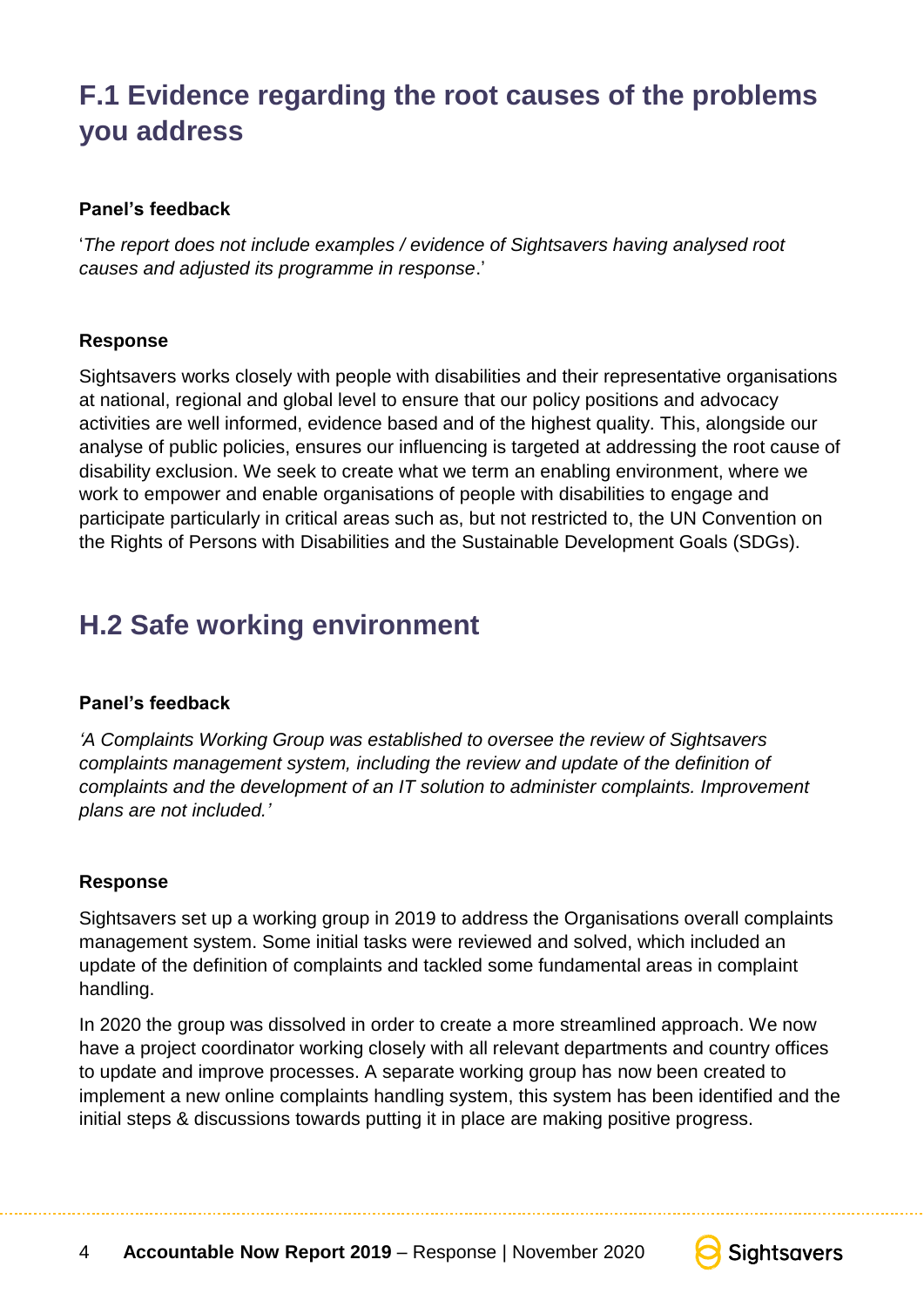### **F.1 Evidence regarding the root causes of the problems you address**

#### **Panel's feedback**

'*The report does not include examples / evidence of Sightsavers having analysed root causes and adjusted its programme in response*.'

#### **Response**

Sightsavers works closely with people with disabilities and their representative organisations at national, regional and global level to ensure that our policy positions and advocacy activities are well informed, evidence based and of the highest quality. This, alongside our analyse of public policies, ensures our influencing is targeted at addressing the root cause of disability exclusion. We seek to create what we term an enabling environment, where we work to empower and enable organisations of people with disabilities to engage and participate particularly in critical areas such as, but not restricted to, the UN Convention on the Rights of Persons with Disabilities and the Sustainable Development Goals (SDGs).

### **H.2 Safe working environment**

#### **Panel's feedback**

*'A Complaints Working Group was established to oversee the review of Sightsavers complaints management system, including the review and update of the definition of complaints and the development of an IT solution to administer complaints. Improvement plans are not included.'*

#### **Response**

Sightsavers set up a working group in 2019 to address the Organisations overall complaints management system. Some initial tasks were reviewed and solved, which included an update of the definition of complaints and tackled some fundamental areas in complaint handling.

In 2020 the group was dissolved in order to create a more streamlined approach. We now have a project coordinator working closely with all relevant departments and country offices to update and improve processes. A separate working group has now been created to implement a new online complaints handling system, this system has been identified and the initial steps & discussions towards putting it in place are making positive progress.